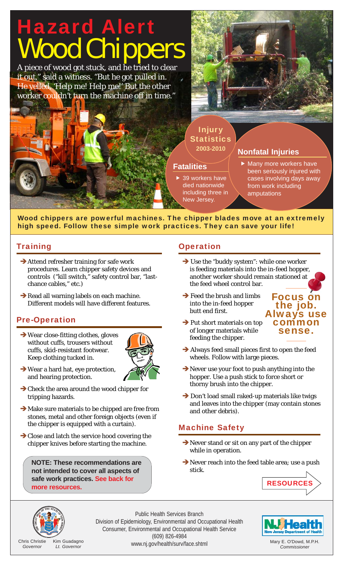### Hazard Alert ood Ch **Fatalities**  $\blacktriangleright$  39 workers have died nationwide including three in New Jersey. A piece of wood got stuck, and he tried to clear it out," said a witness. "But he got pulled in. He yelled, 'Help me! Help me!' But the other worker couldn't turn the machine off in time." **Nonfatal Injuries**  $\blacktriangleright$  Many more workers have been seriously injured with cases involving days away from work including amputations **2003-2010** Injury **Statistics**

Wood chippers are powerful machines. The chipper blades move at an extremely high speed. Follow these simple work practices. They can save your life!

## Training

- $\rightarrow$  Attend refresher training for safe work procedures. Learn chipper safety devices and controls ("kill switch," safety control bar, "lastchance cables," etc.)
- $\rightarrow$  Read all warning labels on each machine. Different models will have different features.

# Pre-Operation

 $\rightarrow$  Wear close-fitting clothes, gloves without cuffs, trousers without cuffs, skid-resistant footwear. Keep clothing tucked in.



- $\rightarrow$  Wear a hard hat, eye protection, and hearing protection.
- $\rightarrow$  Check the area around the wood chipper for tripping hazards.
- $\rightarrow$  Make sure materials to be chipped are free from stones, metal and other foreign objects (even if the chipper is equipped with a curtain).
- $\rightarrow$  Close and latch the service hood covering the chipper knives before starting the machine.

**NOTE: These recommendations are not intended to cover all aspects of safe work practices. See back for more resources.**

### **Operation**

- $\rightarrow$  Use the "buddy system": while one worker is feeding materials into the in-feed hopper, another worker should remain stationed at the feed wheel control bar.
- $\rightarrow$  Feed the brush and limbs into the in-feed hopper butt end first.



- $\rightarrow$  Put short materials on top of longer materials while feeding the chipper.
- $\rightarrow$  Always feed small pieces first to open the feed wheels. Follow with large pieces.
- $\rightarrow$  Never use your foot to push anything into the hopper. Use a push stick to force short or thorny brush into the chipper.
- $\rightarrow$  Don't load small raked-up materials like twigs and leaves into the chipper (may contain stones and other debris).

### Machine Safety

- $\rightarrow$  Never stand or sit on any part of the chipper while in operation.
- $\rightarrow$  Never reach into the feed table area; use a push stick.





Chris Christie *Governor* Kim Guadagno *Lt. Governor*

Public Health Services Branch Division of Epidemiology, Environmental and Occupational Health Consumer, Environmental and Occupational Health Service (609) 826-4984 www.nj.gov/health/surv/face.shtml



Mary E. O'Dowd, M.P.H. *Commissioner*